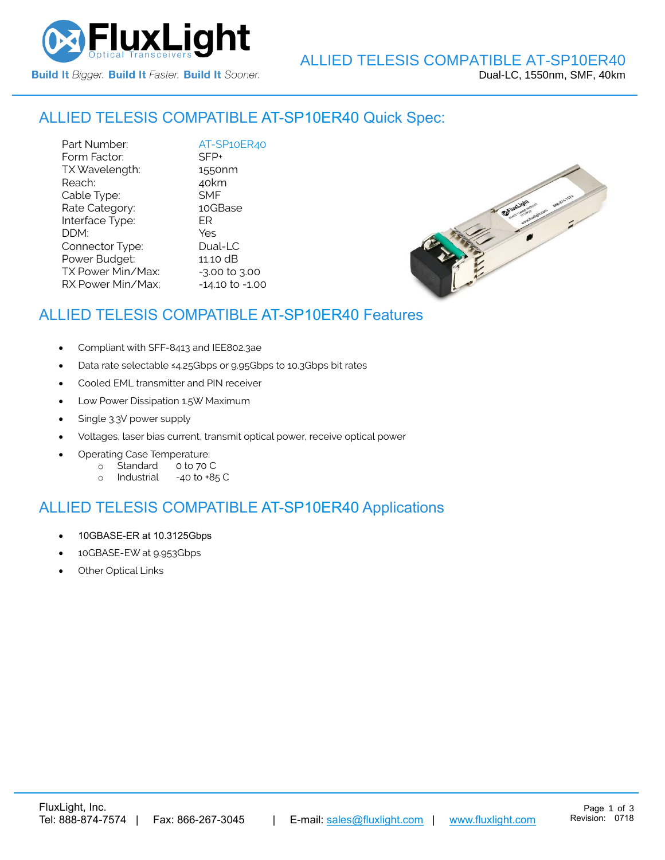

# ALLIED TELESIS COMPATIBLE [AT-SP10ER40](https://www.fluxlight.com/) Quick Spec:

Part Number: [AT-SP10ER40](https://www.fluxlight.com/) Form Factor: SFP+ TX Wavelength: 1550nm Reach: 40km Cable Type: SMF Rate Category: 10GBase Interface Type: ER DDM: Yes Connector Type: Dual-LC Power Budget: 11.10 dB  $TX$  Power Min/Max:  $-3.00$  to  $3.00$ RX Power Min/Max; - 14.10 to -1.00



# ALLIED TELESIS COMPATIBLE [AT-SP10ER40](https://www.fluxlight.com/) Features

- Compliant with SFF-8413 and IEE802.3ae
- Data rate selectable ≤4.25Gbps or 9.95Gbps to 10.3Gbps bit rates
- Cooled EML transmitter and PIN receiver
- Low Power Dissipation 1.5W Maximum
- Single 3.3V power supply
- Voltages, laser bias current, transmit optical power, receive optical power
- Operating Case Temperature:
	- o Standard 0 to 70 C
	- o Industrial -40 to +85 C

## ALLIED TELESIS COMPATIBLE [AT-SP10ER40](https://www.fluxlight.com/) Applications

- 10GBASE-ER at 10.3125Gbps
- 10GBASE-EW at 9.953Gbps
- **Other Optical Links**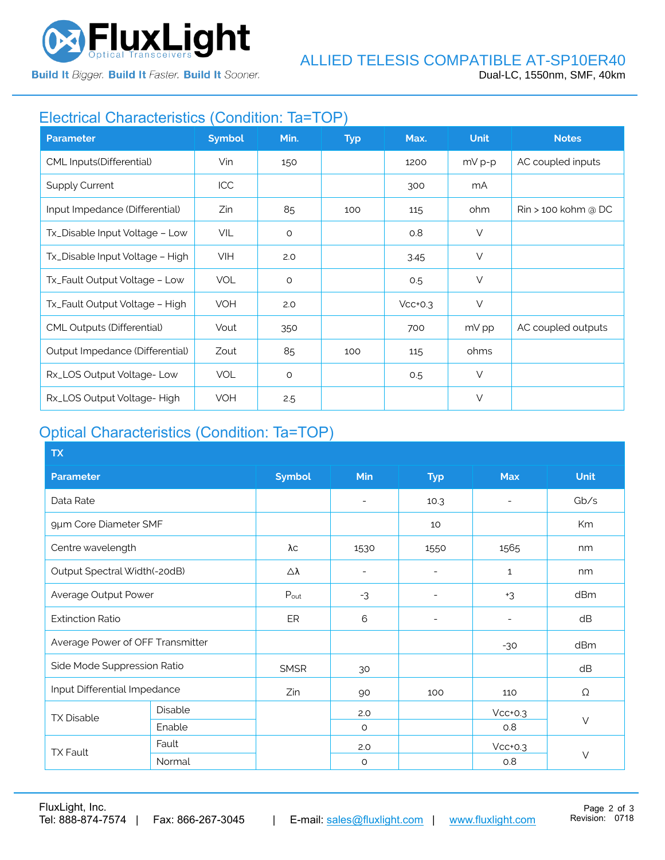

**Build It Bigger. Build It Faster. Build It Sooner.** 

# Electrical Characteristics (Condition: Ta=TOP)

| <b>Parameter</b>                  | <b>Symbol</b> | Min.    | <b>Typ</b> | Max.      | <b>Unit</b> | <b>Notes</b>                    |
|-----------------------------------|---------------|---------|------------|-----------|-------------|---------------------------------|
| CML Inputs(Differential)          | Vin           | 150     |            | 1200      | $mV p-p$    | AC coupled inputs               |
| <b>Supply Current</b>             | <b>ICC</b>    |         |            | 300       | mA          |                                 |
| Input Impedance (Differential)    | Zin           | 85      | 100        | 115       | ohm         | $\mathsf{R}$ in > 100 kohm @ DC |
| Tx_Disable Input Voltage - Low    | VIL           | $\circ$ |            | 0.8       | $\vee$      |                                 |
| Tx_Disable Input Voltage - High   | <b>VIH</b>    | 2.0     |            | 3.45      | $\vee$      |                                 |
| Tx_Fault Output Voltage - Low     | <b>VOL</b>    | $\circ$ |            | 0.5       | $\vee$      |                                 |
| Tx_Fault Output Voltage - High    | <b>VOH</b>    | 2.0     |            | $Vcc+0.3$ | $\vee$      |                                 |
| <b>CML Outputs (Differential)</b> | Vout          | 350     |            | 700       | mV pp       | AC coupled outputs              |
| Output Impedance (Differential)   | Zout          | 85      | 100        | 115       | ohms        |                                 |
| Rx_LOS Output Voltage-Low         | <b>VOL</b>    | $\circ$ |            | 0.5       | $\vee$      |                                 |
| Rx_LOS Output Voltage-High        | <b>VOH</b>    | 2.5     |            |           | $\vee$      |                                 |

# Optical Characteristics (Condition: Ta=TOP)

| <b>TX</b>                        |         |               |                          |                          |              |             |  |
|----------------------------------|---------|---------------|--------------------------|--------------------------|--------------|-------------|--|
| <b>Parameter</b>                 |         | <b>Symbol</b> | Min                      | <b>Typ</b>               | <b>Max</b>   | <b>Unit</b> |  |
| Data Rate                        |         |               | $\overline{\phantom{a}}$ | 10.3                     |              | Gb/s        |  |
| 9µm Core Diameter SMF            |         |               |                          | 10                       |              | Km          |  |
| Centre wavelength                |         | λс            | 1530                     | 1550                     | 1565         | nm          |  |
| Output Spectral Width(-20dB)     |         | Δλ            | $\overline{\phantom{a}}$ | ۰                        | $\mathbf{1}$ | nm          |  |
| Average Output Power             |         | Pout          | $-3$                     | $\overline{\phantom{a}}$ | $+3$         | dBm         |  |
| <b>Extinction Ratio</b>          |         | ER            | 6                        | $\overline{a}$           |              | dB          |  |
| Average Power of OFF Transmitter |         |               |                          |                          | $-30$        | dBm         |  |
| Side Mode Suppression Ratio      |         | <b>SMSR</b>   | 30                       |                          |              | dB          |  |
| Input Differential Impedance     |         | Zin           | 90                       | 100                      | 110          | Ω           |  |
| <b>TX Disable</b>                | Disable |               | 2.0                      |                          | $Vcc+0.3$    | $\vee$      |  |
|                                  | Enable  |               | $\circ$                  |                          | 0.8          |             |  |
| <b>TX Fault</b>                  | Fault   |               | 2.0                      |                          | $Vcc+0.3$    |             |  |
|                                  | Normal  |               | $\circ$                  |                          | 0.8          | $\vee$      |  |